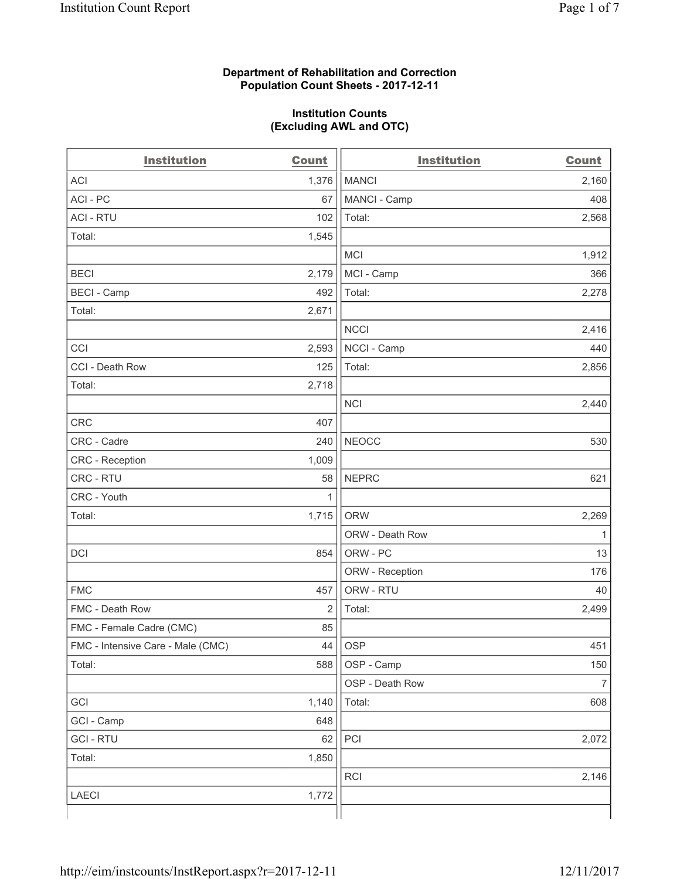#### **Department of Rehabilitation and Correction Population Count Sheets - 2017-12-11**

#### **Institution Counts (Excluding AWL and OTC)**

| <b>Institution</b>                | <b>Count</b> | <b>Institution</b> | <b>Count</b>   |
|-----------------------------------|--------------|--------------------|----------------|
| <b>ACI</b>                        | 1,376        | <b>MANCI</b>       | 2,160          |
| ACI-PC                            | 67           | MANCI - Camp       | 408            |
| <b>ACI - RTU</b>                  | 102          | Total:             | 2,568          |
| Total:                            | 1,545        |                    |                |
|                                   |              | <b>MCI</b>         | 1,912          |
| <b>BECI</b>                       | 2,179        | MCI - Camp         | 366            |
| <b>BECI</b> - Camp                | 492          | Total:             | 2,278          |
| Total:                            | 2,671        |                    |                |
|                                   |              | <b>NCCI</b>        | 2,416          |
| CCI                               | 2,593        | NCCI - Camp        | 440            |
| CCI - Death Row                   | 125          | Total:             | 2,856          |
| Total:                            | 2,718        |                    |                |
|                                   |              | <b>NCI</b>         | 2,440          |
| <b>CRC</b>                        | 407          |                    |                |
| CRC - Cadre                       | 240          | <b>NEOCC</b>       | 530            |
| CRC - Reception                   | 1,009        |                    |                |
| CRC - RTU                         | 58           | <b>NEPRC</b>       | 621            |
| CRC - Youth                       | 1            |                    |                |
| Total:                            | 1,715        | <b>ORW</b>         | 2,269          |
|                                   |              | ORW - Death Row    | 1              |
| DCI                               | 854          | ORW - PC           | 13             |
|                                   |              | ORW - Reception    | 176            |
| <b>FMC</b>                        | 457          | ORW - RTU          | 40             |
| FMC - Death Row                   | 2            | Total:             | 2,499          |
| FMC - Female Cadre (CMC)          | 85           |                    |                |
| FMC - Intensive Care - Male (CMC) | 44           | OSP                | 451            |
| Total:                            | 588          | OSP - Camp         | 150            |
|                                   |              | OSP - Death Row    | $\overline{7}$ |
| GCI                               | 1,140        | Total:             | 608            |
| GCI - Camp                        | 648          |                    |                |
| <b>GCI-RTU</b>                    | 62           | PCI                | 2,072          |
| Total:                            | 1,850        |                    |                |
|                                   |              | RCI                | 2,146          |
| <b>LAECI</b>                      | 1,772        |                    |                |
|                                   |              |                    |                |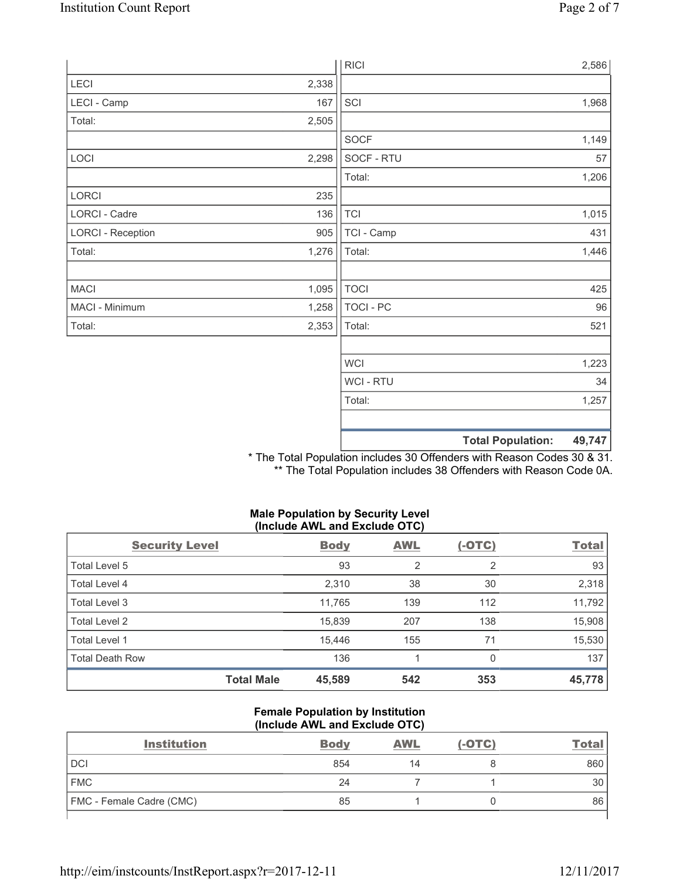|                          |       | <b>RICI</b> | 2,586                              |
|--------------------------|-------|-------------|------------------------------------|
| LECI                     | 2,338 |             |                                    |
| LECI - Camp              | 167   | SCI         | 1,968                              |
| Total:                   | 2,505 |             |                                    |
|                          |       | SOCF        | 1,149                              |
| LOCI                     | 2,298 | SOCF - RTU  | 57                                 |
|                          |       | Total:      | 1,206                              |
| LORCI                    | 235   |             |                                    |
| LORCI - Cadre            | 136   | <b>TCI</b>  | 1,015                              |
| <b>LORCI - Reception</b> | 905   | TCI - Camp  | 431                                |
| Total:                   | 1,276 | Total:      | 1,446                              |
|                          |       |             |                                    |
| <b>MACI</b>              | 1,095 | <b>TOCI</b> | 425                                |
| MACI - Minimum           | 1,258 | TOCI - PC   | 96                                 |
| Total:                   | 2,353 | Total:      | 521                                |
|                          |       |             |                                    |
|                          |       | <b>WCI</b>  | 1,223                              |
|                          |       | WCI - RTU   | 34                                 |
|                          |       | Total:      | 1,257                              |
|                          |       |             |                                    |
|                          |       |             | <b>Total Population:</b><br>49,747 |

\* The Total Population includes 30 Offenders with Reason Codes 30 & 31. \*\* The Total Population includes 38 Offenders with Reason Code 0A.

### **Male Population by Security Level (Include AWL and Exclude OTC)**

| <b>Security Level</b>  |                   | <b>Body</b> | <b>AWL</b> | $(-OTC)$ | <b>Total</b> |
|------------------------|-------------------|-------------|------------|----------|--------------|
| Total Level 5          |                   | 93          | 2          | 2        | 93           |
| Total Level 4          |                   | 2,310       | 38         | 30       | 2,318        |
| Total Level 3          |                   | 11,765      | 139        | 112      | 11,792       |
| Total Level 2          |                   | 15,839      | 207        | 138      | 15,908       |
| Total Level 1          |                   | 15.446      | 155        | 71       | 15,530       |
| <b>Total Death Row</b> |                   | 136         |            | 0        | 137          |
|                        | <b>Total Male</b> | 45,589      | 542        | 353      | 45,778       |

### **Female Population by Institution (Include AWL and Exclude OTC)**

| <b>Institution</b>              | <b>Body</b> | <b>AWL</b> | $(-OTC)$ | Tota |
|---------------------------------|-------------|------------|----------|------|
| <b>DCI</b>                      | 854         | 14         |          | 860  |
| <b>FMC</b>                      | 24          |            |          | 30   |
| <b>FMC</b> - Female Cadre (CMC) | 85          |            |          | 86   |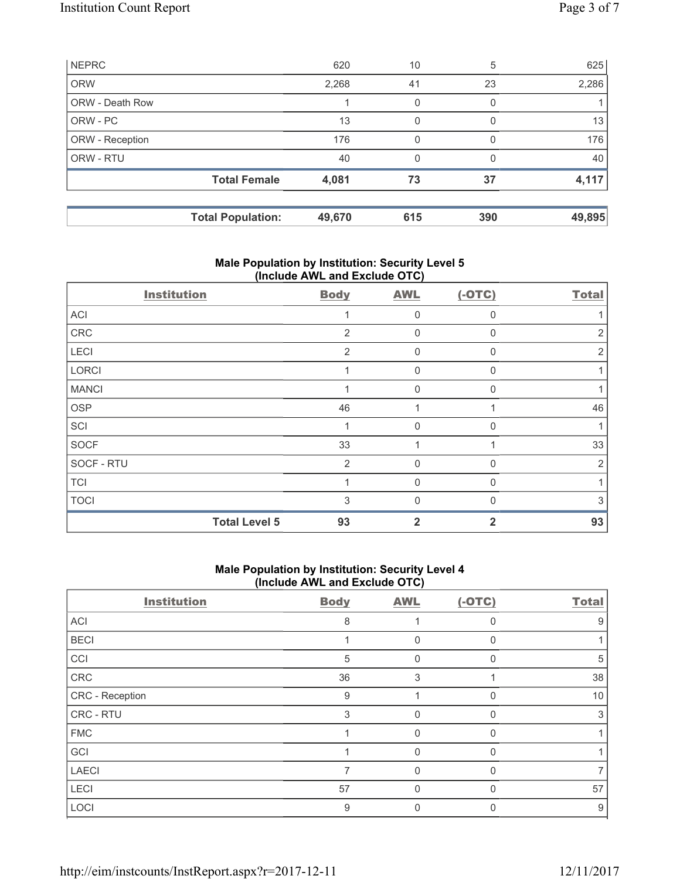|                 | <b>Total Population:</b> | 49,670 | 615 | 390      | 49,895 |
|-----------------|--------------------------|--------|-----|----------|--------|
|                 | <b>Total Female</b>      | 4,081  | 73  | 37       | 4,117  |
| ORW - RTU       |                          | 40     | 0   | 0        | 40     |
| ORW - Reception |                          | 176    | 0   | $\Omega$ | 176    |
| ORW - PC        |                          | 13     | 0   | $\Omega$ | 13     |
| ORW - Death Row |                          |        | 0   | 0        |        |
| <b>ORW</b>      |                          | 2,268  | 41  | 23       | 2,286  |
| <b>NEPRC</b>    |                          | 620    | 10  | 5        | 625    |

# **Male Population by Institution: Security Level 5 (Include AWL and Exclude OTC)**

| <b>Institution</b>   | <b>Body</b>    | <b>AWL</b>  | $(-OTC)$     | <b>Total</b>   |
|----------------------|----------------|-------------|--------------|----------------|
| ACI                  |                | 0           | $\Omega$     |                |
| CRC                  | 2              | $\mathbf 0$ | $\Omega$     | 2              |
| LECI                 | 2              | 0           | $\Omega$     | 2              |
| LORCI                |                | 0           | $\mathbf{0}$ |                |
| <b>MANCI</b>         |                | 0           | $\Omega$     |                |
| OSP                  | 46             |             |              | 46             |
| SCI                  |                | $\Omega$    | $\Omega$     |                |
| <b>SOCF</b>          | 33             |             |              | 33             |
| SOCF - RTU           | $\overline{2}$ | $\Omega$    | $\Omega$     | $\overline{2}$ |
| <b>TCI</b>           |                | $\Omega$    | $\Omega$     |                |
| <b>TOCI</b>          | 3              | $\Omega$    | ſ            | 3              |
| <b>Total Level 5</b> | 93             | 2           | 2            | 93             |

# **Male Population by Institution: Security Level 4 (Include AWL and Exclude OTC)**

| <b>Institution</b> | <b>Body</b> | <b>AWL</b>   | $(-OTC)$     | <b>Total</b> |
|--------------------|-------------|--------------|--------------|--------------|
| <b>ACI</b>         | 8           |              | U            | 9            |
| <b>BECI</b>        |             | 0            |              |              |
| CCI                | 5           | 0            |              | 5            |
| ${\sf CRC}$        | 36          | 3            |              | 38           |
| CRC - Reception    | 9           |              |              | 10           |
| CRC - RTU          | 3           | 0            |              | 3            |
| <b>FMC</b>         |             | $\Omega$     | O            |              |
| GCI                |             | $\mathbf{0}$ | <sup>0</sup> |              |
| <b>LAECI</b>       |             | 0            |              |              |
| LECI               | 57          | 0            |              | 57           |
| LOCI               | 9           | 0            |              | 9            |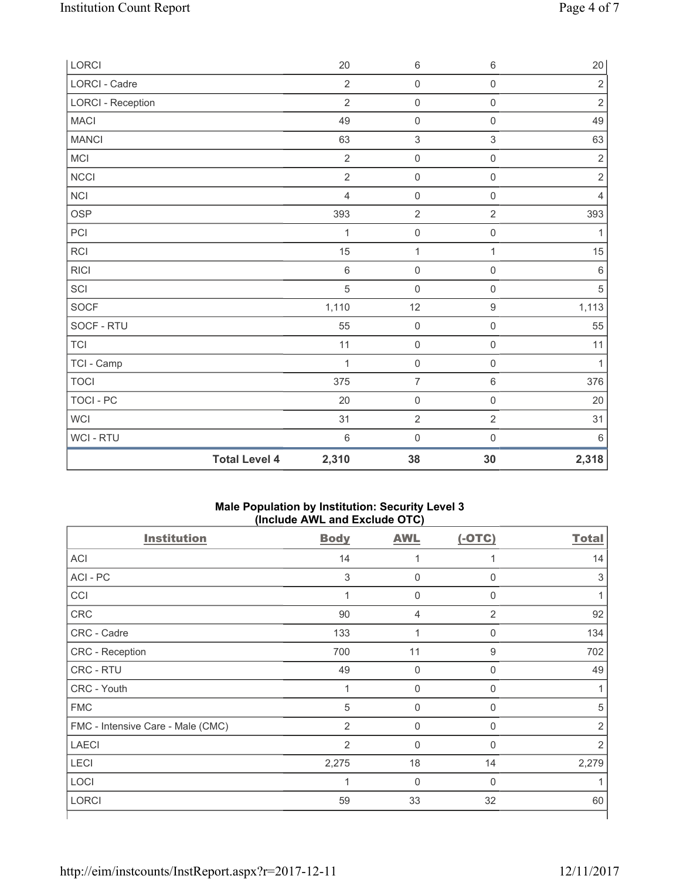| LORCI                    |                      | 20             | $\,6\,$             | $\,6\,$             | $20\,$         |
|--------------------------|----------------------|----------------|---------------------|---------------------|----------------|
| <b>LORCI - Cadre</b>     |                      | $\overline{2}$ | $\mathsf{O}\xspace$ | $\mathsf{O}\xspace$ | $\overline{2}$ |
| <b>LORCI - Reception</b> |                      | $\overline{2}$ | $\mathsf{O}\xspace$ | $\mathsf{O}\xspace$ | $\sqrt{2}$     |
| <b>MACI</b>              |                      | 49             | $\mathsf{O}\xspace$ | $\mathsf{O}\xspace$ | 49             |
| <b>MANCI</b>             |                      | 63             | $\sqrt{3}$          | $\mathfrak{S}$      | 63             |
| MCI                      |                      | $\overline{2}$ | $\mathsf{O}\xspace$ | $\mathsf 0$         | $\sqrt{2}$     |
| NCCI                     |                      | $\overline{2}$ | $\mathsf{O}\xspace$ | $\mathsf{O}\xspace$ | $\sqrt{2}$     |
| <b>NCI</b>               |                      | $\overline{4}$ | $\mathsf{O}\xspace$ | $\mathsf{O}\xspace$ | $\overline{4}$ |
| <b>OSP</b>               |                      | 393            | $\overline{2}$      | $\overline{2}$      | 393            |
| PCI                      |                      | 1              | $\pmb{0}$           | $\mathsf{O}\xspace$ | 1              |
| RCI                      |                      | 15             | $\mathbf 1$         | $\mathbf{1}$        | 15             |
| <b>RICI</b>              |                      | $\,6$          | $\mathsf{O}\xspace$ | $\mathsf{O}\xspace$ | $\,6\,$        |
| SCI                      |                      | $\sqrt{5}$     | $\mathsf{O}\xspace$ | $\mathsf{O}\xspace$ | $\sqrt{5}$     |
| SOCF                     |                      | 1,110          | 12                  | $\boldsymbol{9}$    | 1,113          |
| SOCF - RTU               |                      | 55             | $\mathsf{O}\xspace$ | $\mathsf{O}\xspace$ | 55             |
| TCI                      |                      | 11             | $\mathsf{O}\xspace$ | $\mathsf 0$         | 11             |
| TCI - Camp               |                      | 1              | $\mathbf 0$         | $\mathsf{O}\xspace$ | $\mathbf{1}$   |
| <b>TOCI</b>              |                      | 375            | $\overline{7}$      | $\,6\,$             | 376            |
| TOCI - PC                |                      | 20             | $\mathsf{O}\xspace$ | $\mathsf{O}\xspace$ | 20             |
| WCI                      |                      | 31             | $\sqrt{2}$          | $\overline{2}$      | 31             |
| WCI - RTU                |                      | $\,6$          | $\mathsf{O}\xspace$ | $\mathsf{O}\xspace$ | $\,6\,$        |
|                          | <b>Total Level 4</b> | 2,310          | 38                  | 30                  | 2,318          |

### **Male Population by Institution: Security Level 3 (Include AWL and Exclude OTC)**

| <b>Institution</b>                | <b>Body</b>               | <b>AWL</b>  | $(-OTC)$       | <b>Total</b>   |
|-----------------------------------|---------------------------|-------------|----------------|----------------|
| <b>ACI</b>                        | 14                        |             | 1              | 14             |
| ACI - PC                          | $\ensuremath{\mathsf{3}}$ | $\pmb{0}$   | 0              | 3              |
| CCI                               | 1                         | $\mathbf 0$ | 0              |                |
| CRC                               | 90                        | 4           | $\overline{2}$ | 92             |
| CRC - Cadre                       | 133                       | 1           | 0              | 134            |
| CRC - Reception                   | 700                       | 11          | 9              | 702            |
| CRC - RTU                         | 49                        | $\mathbf 0$ | $\Omega$       | 49             |
| CRC - Youth                       | 1                         | $\mathbf 0$ | 0              |                |
| <b>FMC</b>                        | 5                         | $\mathbf 0$ | 0              | 5              |
| FMC - Intensive Care - Male (CMC) | $\overline{2}$            | $\mathbf 0$ | 0              | $\overline{2}$ |
| <b>LAECI</b>                      | $\overline{2}$            | $\mathbf 0$ | $\mathbf{0}$   | $\overline{2}$ |
| LECI                              | 2,275                     | 18          | 14             | 2,279          |
| LOCI                              | 1                         | $\mathbf 0$ | 0              |                |
| <b>LORCI</b>                      | 59                        | 33          | 32             | 60             |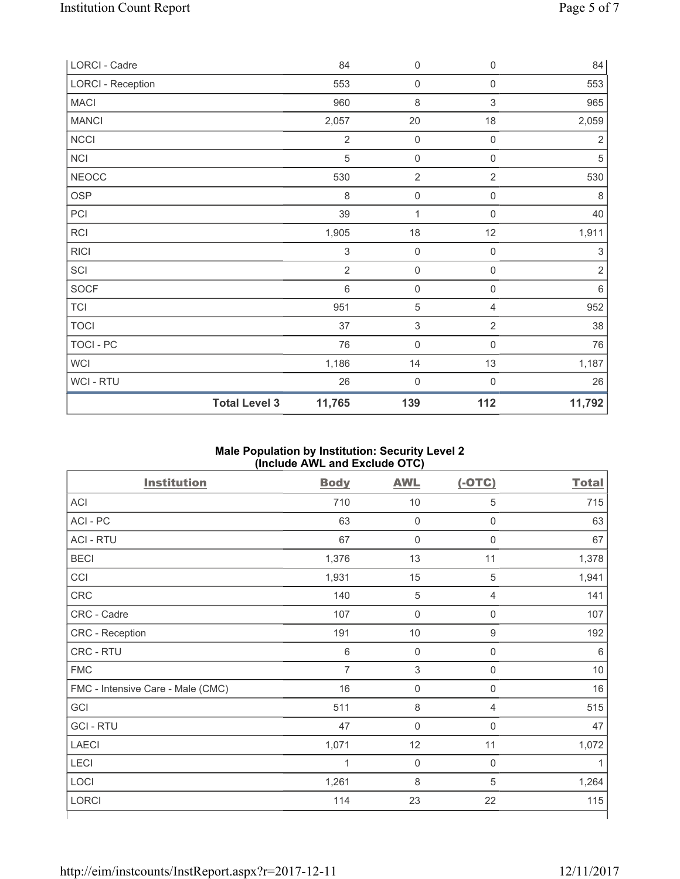| LORCI - Cadre            |                      | 84                        | $\boldsymbol{0}$    | $\mathsf{O}\xspace$ | 84             |
|--------------------------|----------------------|---------------------------|---------------------|---------------------|----------------|
| <b>LORCI - Reception</b> |                      | 553                       | $\mathsf{O}\xspace$ | $\boldsymbol{0}$    | 553            |
| <b>MACI</b>              |                      | 960                       | $\,8\,$             | 3                   | 965            |
| <b>MANCI</b>             |                      | 2,057                     | 20                  | 18                  | 2,059          |
| NCCI                     |                      | $\overline{2}$            | $\mathbf 0$         | $\mathsf{O}\xspace$ | $\overline{2}$ |
| NCI                      |                      | 5                         | $\mathsf{O}\xspace$ | $\mathsf{O}\xspace$ | $\sqrt{5}$     |
| <b>NEOCC</b>             |                      | 530                       | $\overline{2}$      | $\overline{2}$      | 530            |
| <b>OSP</b>               |                      | 8                         | $\mathsf{O}\xspace$ | $\mathsf{O}\xspace$ | $\,8\,$        |
| PCI                      |                      | 39                        | $\mathbf{1}$        | $\mathbf 0$         | 40             |
| RCI                      |                      | 1,905                     | 18                  | 12                  | 1,911          |
| <b>RICI</b>              |                      | $\ensuremath{\mathsf{3}}$ | $\mathsf{O}\xspace$ | $\boldsymbol{0}$    | 3              |
| SCI                      |                      | $\overline{2}$            | $\mathsf{O}\xspace$ | $\mathsf{0}$        | $\sqrt{2}$     |
| <b>SOCF</b>              |                      | $\,6$                     | $\mathsf{O}\xspace$ | $\mathsf{O}\xspace$ | $\,6\,$        |
| <b>TCI</b>               |                      | 951                       | $\sqrt{5}$          | 4                   | 952            |
| <b>TOCI</b>              |                      | 37                        | 3                   | $\overline{2}$      | 38             |
| TOCI - PC                |                      | 76                        | $\mathsf{O}\xspace$ | $\mathsf 0$         | 76             |
| <b>WCI</b>               |                      | 1,186                     | 14                  | 13                  | 1,187          |
| <b>WCI-RTU</b>           |                      | 26                        | $\mathbf 0$         | $\mathbf 0$         | 26             |
|                          | <b>Total Level 3</b> | 11,765                    | 139                 | 112                 | 11,792         |

# **Male Population by Institution: Security Level 2 (Include AWL and Exclude OTC)**

| <b>Institution</b>                | <b>Body</b>    | <b>AWL</b>          | $(-OTC)$         | <b>Total</b> |
|-----------------------------------|----------------|---------------------|------------------|--------------|
| ACI                               | 710            | $10$                | 5                | 715          |
| ACI-PC                            | 63             | $\mathsf{O}\xspace$ | $\mathsf 0$      | 63           |
| <b>ACI - RTU</b>                  | 67             | $\mathsf{O}\xspace$ | $\mathbf 0$      | 67           |
| <b>BECI</b>                       | 1,376          | 13                  | 11               | 1,378        |
| CCI                               | 1,931          | 15                  | $\sqrt{5}$       | 1,941        |
| CRC                               | 140            | $\sqrt{5}$          | 4                | 141          |
| CRC - Cadre                       | 107            | $\mathsf{O}\xspace$ | 0                | 107          |
| CRC - Reception                   | 191            | $10$                | $\hbox{9}$       | 192          |
| CRC - RTU                         | $6\,$          | $\mathsf{O}\xspace$ | $\boldsymbol{0}$ | 6            |
| <b>FMC</b>                        | $\overline{7}$ | $\sqrt{3}$          | $\boldsymbol{0}$ | 10           |
| FMC - Intensive Care - Male (CMC) | 16             | $\mathsf{O}\xspace$ | $\mathbf 0$      | 16           |
| GCI                               | 511            | 8                   | 4                | 515          |
| <b>GCI-RTU</b>                    | 47             | $\mathsf{O}\xspace$ | $\mathbf 0$      | 47           |
| <b>LAECI</b>                      | 1,071          | 12                  | 11               | 1,072        |
| LECI                              | 1              | 0                   | 0                |              |
| LOCI                              | 1,261          | 8                   | 5                | 1,264        |
| LORCI                             | 114            | 23                  | 22               | 115          |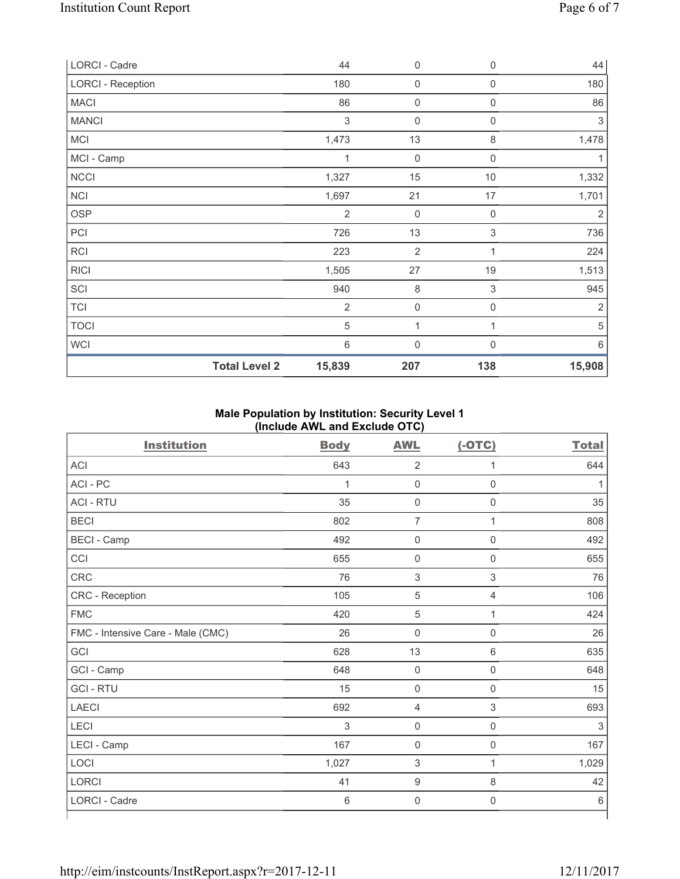| LORCI - Cadre            | 44             | 0                | 0            | 44             |
|--------------------------|----------------|------------------|--------------|----------------|
| <b>LORCI - Reception</b> | 180            | $\mathbf 0$      | 0            | 180            |
| <b>MACI</b>              | 86             | $\mathbf 0$      | 0            | 86             |
| <b>MANCI</b>             | 3              | $\mathbf 0$      | 0            | 3              |
| MCI                      | 1,473          | 13               | 8            | 1,478          |
| MCI - Camp               | 1              | $\mathbf 0$      | $\mathbf 0$  |                |
| <b>NCCI</b>              | 1,327          | 15               | 10           | 1,332          |
| <b>NCI</b>               | 1,697          | 21               | 17           | 1,701          |
| <b>OSP</b>               | $\overline{2}$ | $\boldsymbol{0}$ | 0            | $\overline{2}$ |
| PCI                      | 726            | 13               | 3            | 736            |
| RCI                      | 223            | $\overline{2}$   | 1            | 224            |
| <b>RICI</b>              | 1,505          | 27               | 19           | 1,513          |
| SCI                      | 940            | 8                | 3            | 945            |
| <b>TCI</b>               | $\overline{2}$ | $\mathbf 0$      | 0            | $\overline{2}$ |
| <b>TOCI</b>              | 5              | 1                | $\mathbf{1}$ | 5              |
| <b>WCI</b>               | $\,6$          | $\mathbf 0$      | $\Omega$     | 6              |
| <b>Total Level 2</b>     | 15,839         | 207              | 138          | 15,908         |

# **Male Population by Institution: Security Level 1 (Include AWL and Exclude OTC)**

| <b>Institution</b>                | <b>Body</b> | <b>AWL</b>          | $(-OTC)$            | <b>Total</b> |
|-----------------------------------|-------------|---------------------|---------------------|--------------|
| ACI                               | 643         | $\overline{2}$      | 1                   | 644          |
| ACI-PC                            | 1           | $\mathsf{O}\xspace$ | $\mathsf{O}\xspace$ | 1            |
| <b>ACI - RTU</b>                  | 35          | $\mathsf{O}\xspace$ | $\mathsf 0$         | 35           |
| <b>BECI</b>                       | 802         | $\overline{7}$      | 1                   | 808          |
| <b>BECI - Camp</b>                | 492         | $\mathsf{O}\xspace$ | $\mathsf 0$         | 492          |
| CCI                               | 655         | 0                   | $\mathbf 0$         | 655          |
| CRC                               | 76          | 3                   | 3                   | 76           |
| CRC - Reception                   | 105         | 5                   | $\overline{4}$      | 106          |
| <b>FMC</b>                        | 420         | 5                   | 1                   | 424          |
| FMC - Intensive Care - Male (CMC) | 26          | 0                   | $\mathsf{O}\xspace$ | 26           |
| GCI                               | 628         | 13                  | 6                   | 635          |
| GCI - Camp                        | 648         | 0                   | $\mathsf 0$         | 648          |
| <b>GCI-RTU</b>                    | 15          | $\mathsf{O}\xspace$ | $\mathsf 0$         | 15           |
| <b>LAECI</b>                      | 692         | 4                   | 3                   | 693          |
| LECI                              | 3           | 0                   | $\mathbf 0$         | 3            |
| LECI - Camp                       | 167         | 0                   | 0                   | 167          |
| LOCI                              | 1,027       | 3                   | $\mathbf{1}$        | 1,029        |
| LORCI                             | 41          | 9                   | $\,8\,$             | 42           |
| LORCI - Cadre                     | $\,6\,$     | $\mathbf 0$         | $\mathsf{O}\xspace$ | $\,6\,$      |

⅂